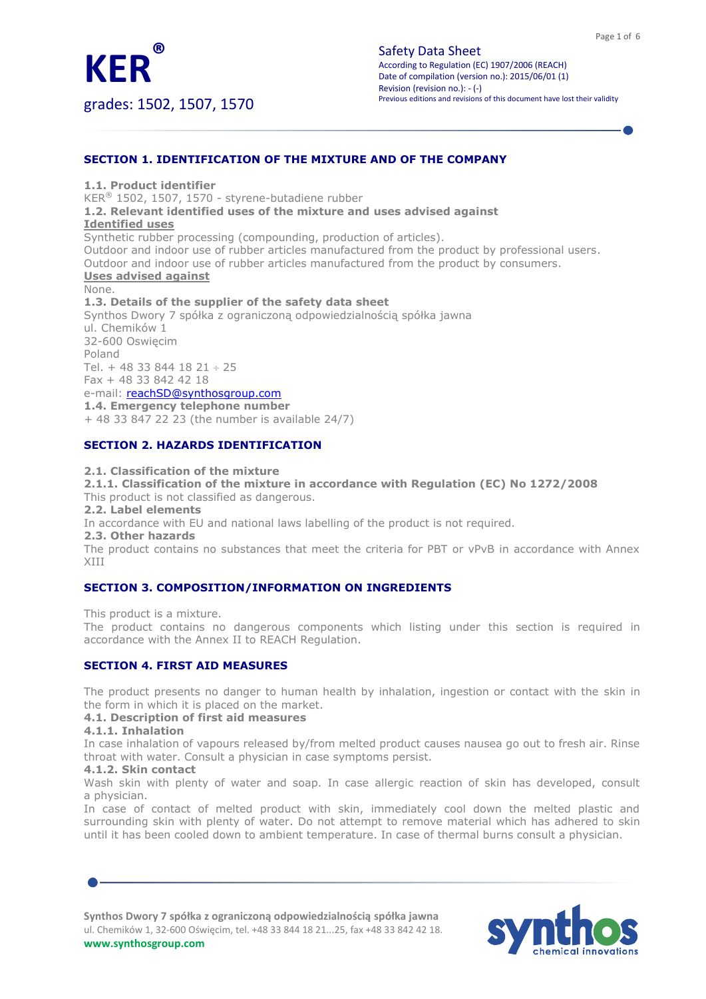

grades: 1502, 1507, 1570

# **SECTION 1. IDENTIFICATION OF THE MIXTURE AND OF THE COMPANY**

**1.1. Product identifier** KER® 1502, 1507, 1570 - styrene-butadiene rubber **1.2. Relevant identified uses of the mixture and uses advised against Identified uses** Synthetic rubber processing (compounding, production of articles). Outdoor and indoor use of rubber articles manufactured from the product by professional users. Outdoor and indoor use of rubber articles manufactured from the product by consumers. **Uses advised against** None. **1.3. Details of the supplier of the safety data sheet** Synthos Dwory 7 spółka z ograniczoną odpowiedzialnością spółka jawna ul. Chemików 1 32-600 Oswięcim Poland Tel. + 48 33 844 18 21  $\div$  25 Fax + 48 33 842 42 18

## e-mail: [reachSD@synthosgroup.com](mailto:reachSD@synthosgroup.com)

**1.4. Emergency telephone number**

+ 48 33 847 22 23 (the number is available 24/7)

# **SECTION 2. HAZARDS IDENTIFICATION**

#### **2.1. Classification of the mixture**

**2.1.1. Classification of the mixture in accordance with Regulation (EC) No 1272/2008** This product is not classified as dangerous.

**2.2. Label elements**

In accordance with EU and national laws labelling of the product is not required.

**2.3. Other hazards**

The product contains no substances that meet the criteria for PBT or vPvB in accordance with Annex XIII

## **SECTION 3. COMPOSITION/INFORMATION ON INGREDIENTS**

This product is a mixture.

The product contains no dangerous components which listing under this section is required in accordance with the Annex II to REACH Regulation.

## **SECTION 4. FIRST AID MEASURES**

The product presents no danger to human health by inhalation, ingestion or contact with the skin in the form in which it is placed on the market.

#### **4.1. Description of first aid measures**

#### **4.1.1. Inhalation**

In case inhalation of vapours released by/from melted product causes nausea go out to fresh air. Rinse throat with water. Consult a physician in case symptoms persist.

#### **4.1.2. Skin contact**

Wash skin with plenty of water and soap. In case allergic reaction of skin has developed, consult a physician.

In case of contact of melted product with skin, immediately cool down the melted plastic and surrounding skin with plenty of water. Do not attempt to remove material which has adhered to skin until it has been cooled down to ambient temperature. In case of thermal burns consult a physician.

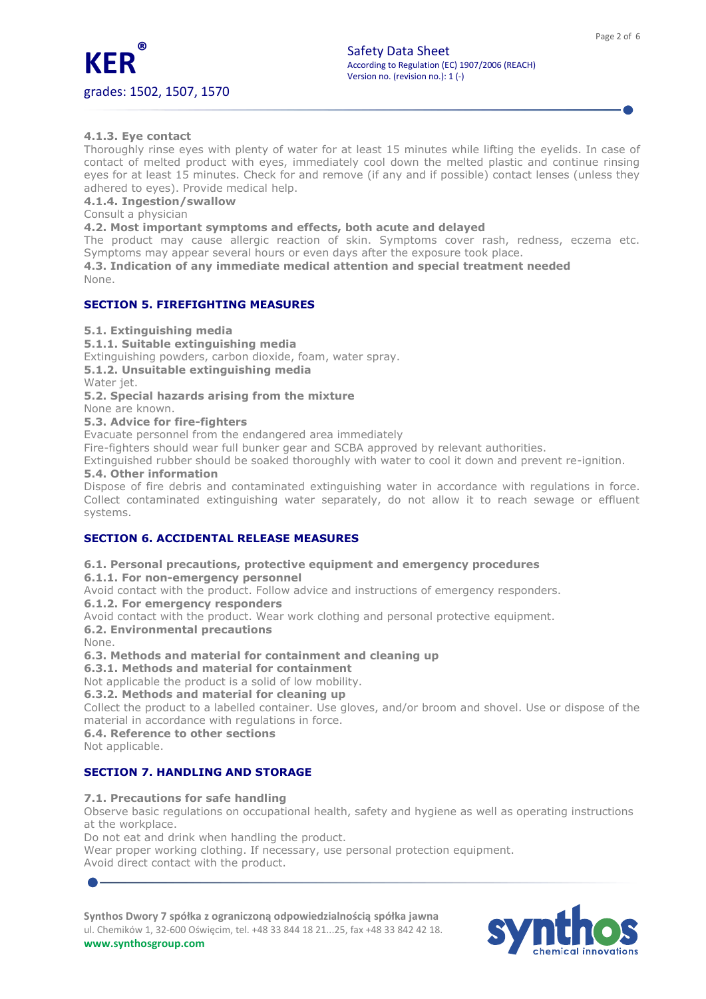

# **4.1.3. Eye contact**

Thoroughly rinse eyes with plenty of water for at least 15 minutes while lifting the eyelids. In case of contact of melted product with eyes, immediately cool down the melted plastic and continue rinsing eyes for at least 15 minutes. Check for and remove (if any and if possible) contact lenses (unless they adhered to eyes). Provide medical help.

#### **4.1.4. Ingestion/swallow**

Consult a physician

**4.2. Most important symptoms and effects, both acute and delayed**

The product may cause allergic reaction of skin. Symptoms cover rash, redness, eczema etc. Symptoms may appear several hours or even days after the exposure took place.

**4.3. Indication of any immediate medical attention and special treatment needed** None.

# **SECTION 5. FIREFIGHTING MEASURES**

**5.1. Extinguishing media**

**5.1.1. Suitable extinguishing media**

Extinguishing powders, carbon dioxide, foam, water spray.

**5.1.2. Unsuitable extinguishing media**

Water jet.

**5.2. Special hazards arising from the mixture**

None are known.

## **5.3. Advice for fire-fighters**

Evacuate personnel from the endangered area immediately

Fire-fighters should wear full bunker gear and SCBA approved by relevant authorities.

Extinguished rubber should be soaked thoroughly with water to cool it down and prevent re-ignition.

# **5.4. Other information**

Dispose of fire debris and contaminated extinguishing water in accordance with regulations in force. Collect contaminated extinguishing water separately, do not allow it to reach sewage or effluent systems.

# **SECTION 6. ACCIDENTAL RELEASE MEASURES**

## **6.1. Personal precautions, protective equipment and emergency procedures**

**6.1.1. For non-emergency personnel**

Avoid contact with the product. Follow advice and instructions of emergency responders.

**6.1.2. For emergency responders**

Avoid contact with the product. Wear work clothing and personal protective equipment.

#### **6.2. Environmental precautions**

None.

**6.3. Methods and material for containment and cleaning up**

**6.3.1. Methods and material for containment**

Not applicable the product is a solid of low mobility.

## **6.3.2. Methods and material for cleaning up**

Collect the product to a labelled container. Use gloves, and/or broom and shovel. Use or dispose of the material in accordance with regulations in force.

**6.4. Reference to other sections**

Not applicable.

## **SECTION 7. HANDLING AND STORAGE**

## **7.1. Precautions for safe handling**

Observe basic regulations on occupational health, safety and hygiene as well as operating instructions at the workplace.

Do not eat and drink when handling the product.

Wear proper working clothing. If necessary, use personal protection equipment. Avoid direct contact with the product.

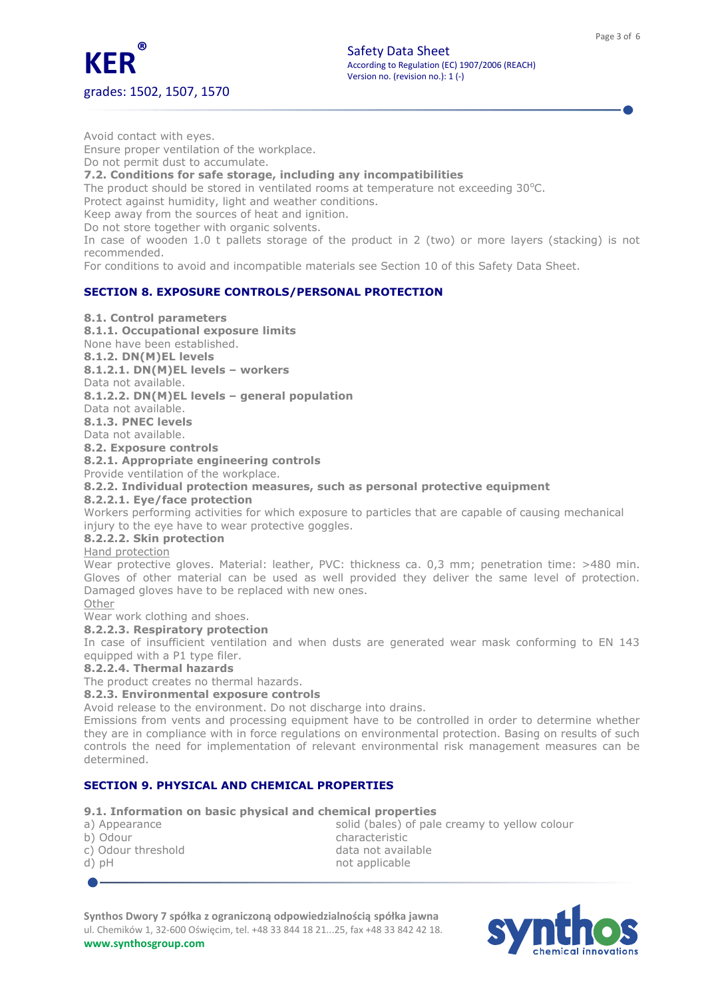

Avoid contact with eyes. Ensure proper ventilation of the workplace. Do not permit dust to accumulate. **7.2. Conditions for safe storage, including any incompatibilities** The product should be stored in ventilated rooms at temperature not exceeding 30°C. Protect against humidity, light and weather conditions. Keep away from the sources of heat and ignition. Do not store together with organic solvents. In case of wooden 1.0 t pallets storage of the product in 2 (two) or more layers (stacking) is not recommended. For conditions to avoid and incompatible materials see Section 10 of this Safety Data Sheet.

# **SECTION 8. EXPOSURE CONTROLS/PERSONAL PROTECTION**

## **8.1. Control parameters**

**8.1.1. Occupational exposure limits**

None have been established.

**8.1.2. DN(M)EL levels**

**8.1.2.1. DN(M)EL levels – workers**

Data not available.

**8.1.2.2. DN(M)EL levels – general population**

Data not available.

**8.1.3. PNEC levels** Data not available.

**8.2. Exposure controls**

**8.2.1. Appropriate engineering controls**

Provide ventilation of the workplace.

**8.2.2. Individual protection measures, such as personal protective equipment**

## **8.2.2.1. Eye/face protection**

Workers performing activities for which exposure to particles that are capable of causing mechanical injury to the eye have to wear protective goggles.

## **8.2.2.2. Skin protection**

Hand protection

Wear protective gloves. Material: leather, PVC: thickness ca. 0,3 mm; penetration time: >480 min. Gloves of other material can be used as well provided they deliver the same level of protection. Damaged gloves have to be replaced with new ones.

Other Wear work clothing and shoes.

# **8.2.2.3. Respiratory protection**

In case of insufficient ventilation and when dusts are generated wear mask conforming to EN 143 equipped with a P1 type filer.

#### **8.2.2.4. Thermal hazards**

The product creates no thermal hazards.

#### **8.2.3. Environmental exposure controls**

Avoid release to the environment. Do not discharge into drains.

Emissions from vents and processing equipment have to be controlled in order to determine whether they are in compliance with in force regulations on environmental protection. Basing on results of such controls the need for implementation of relevant environmental risk management measures can be determined.

# **SECTION 9. PHYSICAL AND CHEMICAL PROPERTIES**

## **9.1. Information on basic physical and chemical properties**

| a) Appearance      | solid (bales) of pale creamy to yellow colour |
|--------------------|-----------------------------------------------|
| b) Odour           | characteristic                                |
| c) Odour threshold | data not available                            |
| d) pH              | not applicable                                |
|                    |                                               |

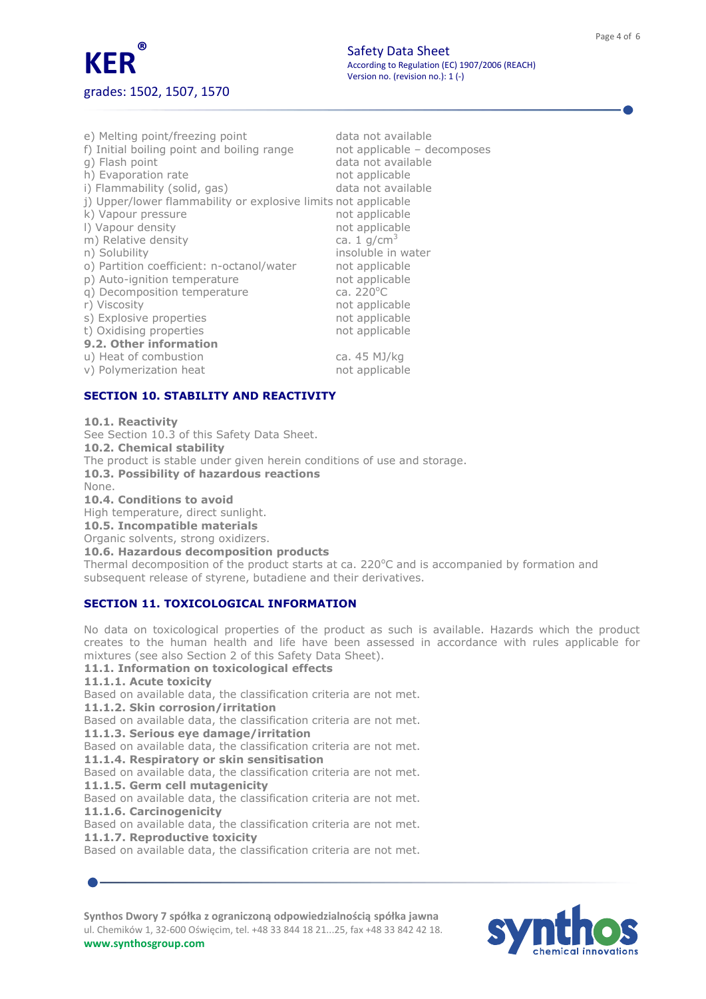

| e) Melting point/freezing point<br>f) Initial boiling point and boiling range | data not available<br>not applicable - decomposes |
|-------------------------------------------------------------------------------|---------------------------------------------------|
| q) Flash point                                                                | data not available                                |
| h) Evaporation rate                                                           | not applicable                                    |
| i) Flammability (solid, gas)                                                  | data not available                                |
| j) Upper/lower flammability or explosive limits not applicable                |                                                   |
| k) Vapour pressure                                                            | not applicable                                    |
| I) Vapour density                                                             | not applicable                                    |
| m) Relative density                                                           | ca. 1 $q/cm3$                                     |
| n) Solubility                                                                 | insoluble in water                                |
| o) Partition coefficient: n-octanol/water                                     | not applicable                                    |
| p) Auto-ignition temperature                                                  | not applicable                                    |
| g) Decomposition temperature                                                  | ca. $220^{\circ}$ C                               |
| r) Viscosity                                                                  | not applicable                                    |
| s) Explosive properties                                                       | not applicable                                    |
| t) Oxidising properties                                                       | not applicable                                    |
| 9.2. Other information                                                        |                                                   |
| u) Heat of combustion                                                         | ca. 45 MJ/kg                                      |
| v) Polymerization heat                                                        | not applicable                                    |

# **SECTION 10. STABILITY AND REACTIVITY**

**10.1. Reactivity** See Section 10.3 of this Safety Data Sheet. **10.2. Chemical stability** The product is stable under given herein conditions of use and storage. **10.3. Possibility of hazardous reactions** None. **10.4. Conditions to avoid** High temperature, direct sunlight. **10.5. Incompatible materials** Organic solvents, strong oxidizers. **10.6. Hazardous decomposition products** Thermal decomposition of the product starts at ca. 220 $^{\circ}$ C and is accompanied by formation and subsequent release of styrene, butadiene and their derivatives.

# **SECTION 11. TOXICOLOGICAL INFORMATION**

No data on toxicological properties of the product as such is available. Hazards which the product creates to the human health and life have been assessed in accordance with rules applicable for mixtures (see also Section 2 of this Safety Data Sheet).

#### **11.1. Information on toxicological effects**

**11.1.1. Acute toxicity**

Based on available data, the classification criteria are not met.

**11.1.2. Skin corrosion/irritation**

Based on available data, the classification criteria are not met.

**11.1.3. Serious eye damage/irritation**

Based on available data, the classification criteria are not met.

**11.1.4. Respiratory or skin sensitisation**

Based on available data, the classification criteria are not met. **11.1.5. Germ cell mutagenicity**

Based on available data, the classification criteria are not met. **11.1.6. Carcinogenicity**

Based on available data, the classification criteria are not met.

**11.1.7. Reproductive toxicity**

Based on available data, the classification criteria are not met.

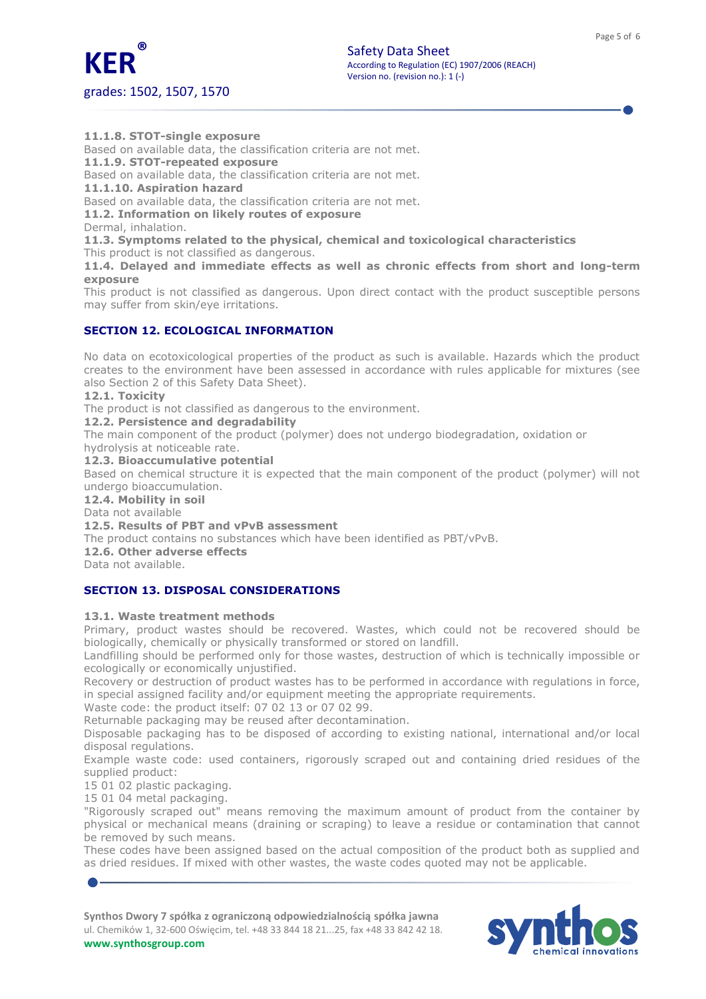

**11.1.8. STOT-single exposure**

Based on available data, the classification criteria are not met.

**11.1.9. STOT-repeated exposure** Based on available data, the classification criteria are not met.

**11.1.10. Aspiration hazard**

Based on available data, the classification criteria are not met.

**11.2. Information on likely routes of exposure**

Dermal, inhalation.

**11.3. Symptoms related to the physical, chemical and toxicological characteristics** This product is not classified as dangerous.

**11.4. Delayed and immediate effects as well as chronic effects from short and long-term exposure**

This product is not classified as dangerous. Upon direct contact with the product susceptible persons may suffer from skin/eye irritations.

# **SECTION 12. ECOLOGICAL INFORMATION**

No data on ecotoxicological properties of the product as such is available. Hazards which the product creates to the environment have been assessed in accordance with rules applicable for mixtures (see also Section 2 of this Safety Data Sheet).

#### **12.1. Toxicity**

The product is not classified as dangerous to the environment.

**12.2. Persistence and degradability**

The main component of the product (polymer) does not undergo biodegradation, oxidation or

hydrolysis at noticeable rate.

**12.3. Bioaccumulative potential**

Based on chemical structure it is expected that the main component of the product (polymer) will not undergo bioaccumulation.

**12.4. Mobility in soil**

Data not available

**12.5. Results of PBT and vPvB assessment**

The product contains no substances which have been identified as PBT/vPvB.

**12.6. Other adverse effects**

Data not available.

# **SECTION 13. DISPOSAL CONSIDERATIONS**

## **13.1. Waste treatment methods**

Primary, product wastes should be recovered. Wastes, which could not be recovered should be biologically, chemically or physically transformed or stored on landfill.

Landfilling should be performed only for those wastes, destruction of which is technically impossible or ecologically or economically unjustified.

Recovery or destruction of product wastes has to be performed in accordance with regulations in force, in special assigned facility and/or equipment meeting the appropriate requirements.

Waste code: the product itself: 07 02 13 or 07 02 99.

Returnable packaging may be reused after decontamination.

Disposable packaging has to be disposed of according to existing national, international and/or local disposal regulations.

Example waste code: used containers, rigorously scraped out and containing dried residues of the supplied product:

15 01 02 plastic packaging.

15 01 04 metal packaging.

"Rigorously scraped out" means removing the maximum amount of product from the container by physical or mechanical means (draining or scraping) to leave a residue or contamination that cannot be removed by such means.

These codes have been assigned based on the actual composition of the product both as supplied and as dried residues. If mixed with other wastes, the waste codes quoted may not be applicable.